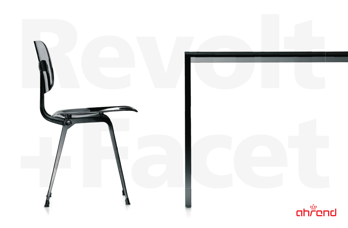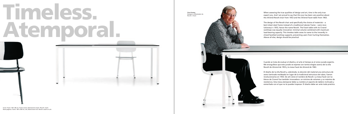## Timeless. Atemporal.

When assessing the true qualities of design and art, time is the only true expert jury. And I am proud to say that this jury has been very positive about the Ahrend Revolt chair from 1953 and the Ahrend Facet table from 1963.

The design of the Revolt chair and specifically the choice of materials – a bent sheet steel frame instead of a traditional tubular frame – were revolutionaryi n 1953, hence the name Revolt. The Facet table with its Ciranol worktops was equally innovative: minimal volume combined with maximum load-bearing capacity. This timeless table owes its name to the inwardly inclined facetted worktop supports, preventing users from hurting themselves. Above all else, design should be practical.

Cuando se trata de evaluar el diseño y el arte el tiempo es el único jurado experto. Me enorgullece que este jurado se exprese con tantos elogios acerca de la silla Revolt de Ahrend de 1953 y la mesa Facet de Ahrend de 1963.

El diseño de la silla Revolt y, sobretodo, la elección del material:una estructura de acero laminado moldeado en lugar de la tradicional estructura de tubos, fueron revolucionarios en 1953. De ahí viene el nombre de Revolt. La mesa Facet con tableros de Ciranol fue también innovadora: un mínimo de volumen y un máximo de resistencia. Esta mesa atemporal debe su nombre al soporte de tablero inclinado y esmerilado con el que no te puedes tropezar. El diseño debe ser ante todo práctico.

**Friso Kramer** Designer of/Diseñador de Revolt + Facet

Cover. Facet: 160 x 80 cm, frame zwart, blad Ciranol zwart. Revolt: zwart. Deze pagina's. Facet: 100 x 200 cm, wit, blad Ciranol wit. Revolt: zwart en wit.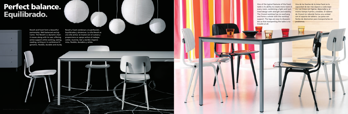One of the typical features of the Facet table is its ability to create more room in every room, combining a light and tautlined design with strength and stability. The Ciranol worktop has no overhang and forms a whole with the worktop support. The legs are easy to disassemble so that transporting the table is no trouble at all.

## Perfect balance. Equilibrado.

Revolt and Facet form a beautiful partnership. Well-balanced and dynamic. The Revolt is a dynamic chair: it moves along with its user, offering active support while working, eating, reading, writing or in conference Ergonomic, flexible, durable and sturdy.

Revolt y Facet combinan a la perfección. Equilibrados y dinámicos. La silla Revolt es una silla activa: se mueve con el cuerpo y proporciona un apoyo activo al trabajar, comer, reunirse, leer y escribir. Ergonómica, flexible, duradera y sólida.

Una de las facetas de la mesa Facet es la capacidad de dar más espacio a cada espacio. Las líneas son ligeras, depuradas y, al mismo tiempo fuertes y estables. El tablero de Ciranol sin reborde forma una unidad con el soporte de tablero. Las patas son fáciles de desmontar para transportarlas sin problemas.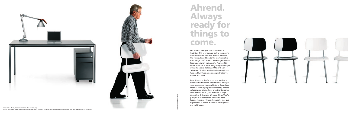## Ahrend. Always ready for things to come.

For Ahrend, design is not a trend but a tradition. This is evidenced by the company's firm roots in the past and its clear view for the future. In addition to the creations of its own design staff, Ahrend works together with leading designers such as *Friso Kramer, Wim Quist, Frans de la Haye, Perry King & Santiago Miranda, Sigurd Rothe and Meyer & van Schooten.* This has resulted in inspiring furniture and furniture series: designs that serve people and work.

Para Ahrend el diseño no es una tendencia sino una tradición con fuertes raíces en el pasado y una clara visión del futuro. Además de trabajar con sus propios diseñadores, Ahrend colabora con diseñadores prominentes como *Friso Kramer, Wim Quist, Frans de la Haye, Perry King & Santiago Miranda, Sigurd Rothe y Meyer & van Schooten,* lo que ha dado lugar a muebles y líneas de muebles más que sugerentes. El diseño al servicio de las personas y el trabajo.

Concept/design: Studiomeiboom